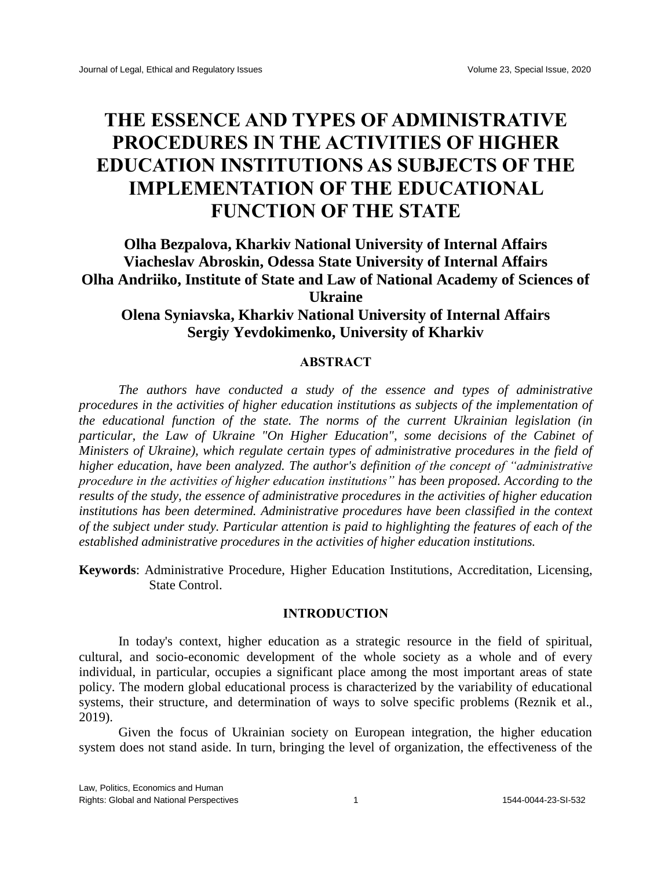# **THE ESSENCE AND TYPES OF ADMINISTRATIVE PROCEDURES IN THE ACTIVITIES OF HIGHER EDUCATION INSTITUTIONS AS SUBJECTS OF THE IMPLEMENTATION OF THE EDUCATIONAL FUNCTION OF THE STATE**

### **Olha Bezpalova, Kharkiv National University of Internal Affairs Viacheslav Abroskin, Odessa State University of Internal Affairs Olha Andriiko, Institute of State and Law of National Academy of Sciences of Ukraine Olena Syniavska, Kharkiv National University of Internal Affairs Sergiy Yevdokimenko, University of Kharkiv**

## **ABSTRACT**

*The authors have conducted a study of the essence and types of administrative procedures in the activities of higher education institutions as subjects of the implementation of the educational function of the state. The norms of the current Ukrainian legislation (in particular, the Law of Ukraine "On Higher Education", some decisions of the Cabinet of Ministers of Ukraine), which regulate certain types of administrative procedures in the field of higher education, have been analyzed. The author's definition of the concept of "administrative procedure in the activities of higher education institutions" has been proposed. According to the results of the study, the essence of administrative procedures in the activities of higher education institutions has been determined. Administrative procedures have been classified in the context of the subject under study. Particular attention is paid to highlighting the features of each of the established administrative procedures in the activities of higher education institutions.*

**Keywords**: Administrative Procedure, Higher Education Institutions, Accreditation, Licensing, State Control.

#### **INTRODUCTION**

In today's context, higher education as a strategic resource in the field of spiritual, cultural, and socio-economic development of the whole society as a whole and of every individual, in particular, occupies a significant place among the most important areas of state policy. The modern global educational process is characterized by the variability of educational systems, their structure, and determination of ways to solve specific problems (Reznik et al., 2019).

Given the focus of Ukrainian society on European integration, the higher education system does not stand aside. In turn, bringing the level of organization, the effectiveness of the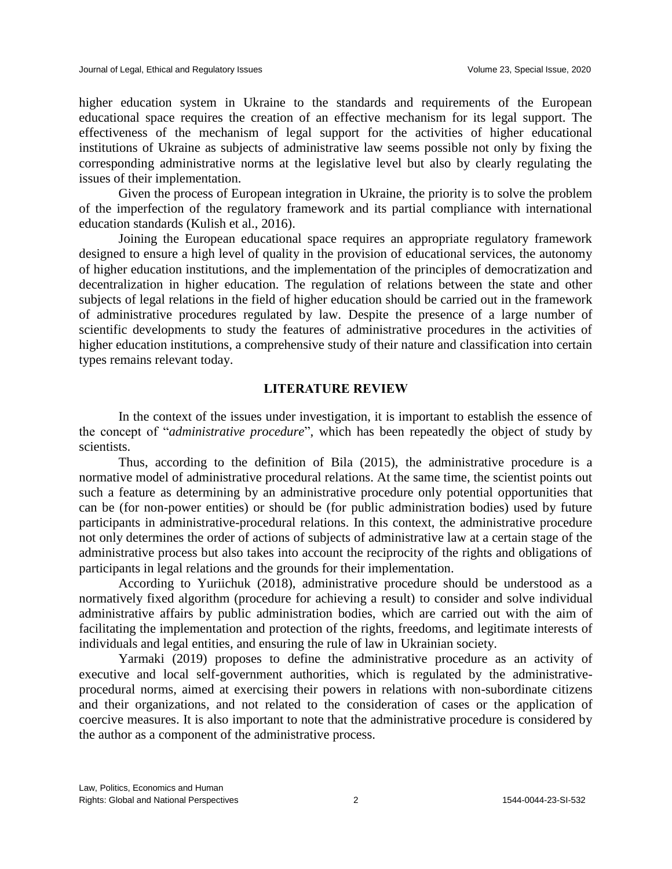higher education system in Ukraine to the standards and requirements of the European educational space requires the creation of an effective mechanism for its legal support. The effectiveness of the mechanism of legal support for the activities of higher educational institutions of Ukraine as subjects of administrative law seems possible not only by fixing the corresponding administrative norms at the legislative level but also by clearly regulating the issues of their implementation.

Given the process of European integration in Ukraine, the priority is to solve the problem of the imperfection of the regulatory framework and its partial compliance with international education standards (Kulish et al., 2016).

Joining the European educational space requires an appropriate regulatory framework designed to ensure a high level of quality in the provision of educational services, the autonomy of higher education institutions, and the implementation of the principles of democratization and decentralization in higher education. The regulation of relations between the state and other subjects of legal relations in the field of higher education should be carried out in the framework of administrative procedures regulated by law. Despite the presence of a large number of scientific developments to study the features of administrative procedures in the activities of higher education institutions, a comprehensive study of their nature and classification into certain types remains relevant today.

#### **LITERATURE REVIEW**

In the context of the issues under investigation, it is important to establish the essence of the concept of "*administrative procedure*", which has been repeatedly the object of study by scientists.

Thus, according to the definition of Bila (2015), the administrative procedure is a normative model of administrative procedural relations. At the same time, the scientist points out such a feature as determining by an administrative procedure only potential opportunities that can be (for non-power entities) or should be (for public administration bodies) used by future participants in administrative-procedural relations. In this context, the administrative procedure not only determines the order of actions of subjects of administrative law at a certain stage of the administrative process but also takes into account the reciprocity of the rights and obligations of participants in legal relations and the grounds for their implementation.

According to Yuriichuk (2018), administrative procedure should be understood as a normatively fixed algorithm (procedure for achieving a result) to consider and solve individual administrative affairs by public administration bodies, which are carried out with the aim of facilitating the implementation and protection of the rights, freedoms, and legitimate interests of individuals and legal entities, and ensuring the rule of law in Ukrainian society.

Yarmaki (2019) proposes to define the administrative procedure as an activity of executive and local self-government authorities, which is regulated by the administrativeprocedural norms, aimed at exercising their powers in relations with non-subordinate citizens and their organizations, and not related to the consideration of cases or the application of coercive measures. It is also important to note that the administrative procedure is considered by the author as a component of the administrative process.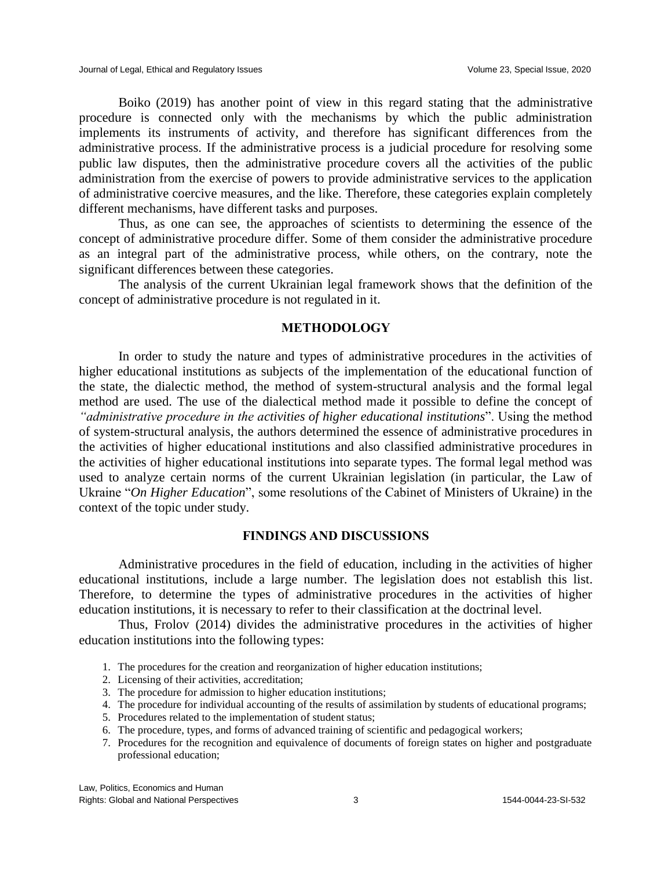Boiko (2019) has another point of view in this regard stating that the administrative procedure is connected only with the mechanisms by which the public administration implements its instruments of activity, and therefore has significant differences from the administrative process. If the administrative process is a judicial procedure for resolving some public law disputes, then the administrative procedure covers all the activities of the public administration from the exercise of powers to provide administrative services to the application of administrative coercive measures, and the like. Therefore, these categories explain completely different mechanisms, have different tasks and purposes.

Thus, as one can see, the approaches of scientists to determining the essence of the concept of administrative procedure differ. Some of them consider the administrative procedure as an integral part of the administrative process, while others, on the contrary, note the significant differences between these categories.

The analysis of the current Ukrainian legal framework shows that the definition of the concept of administrative procedure is not regulated in it.

#### **METHODOLOGY**

In order to study the nature and types of administrative procedures in the activities of higher educational institutions as subjects of the implementation of the educational function of the state, the dialectic method, the method of system-structural analysis and the formal legal method are used. The use of the dialectical method made it possible to define the concept of *"administrative procedure in the activities of higher educational institutions*". Using the method of system-structural analysis, the authors determined the essence of administrative procedures in the activities of higher educational institutions and also classified administrative procedures in the activities of higher educational institutions into separate types. The formal legal method was used to analyze certain norms of the current Ukrainian legislation (in particular, the Law of Ukraine "*On Higher Education*", some resolutions of the Cabinet of Ministers of Ukraine) in the context of the topic under study.

#### **FINDINGS AND DISCUSSIONS**

Administrative procedures in the field of education, including in the activities of higher educational institutions, include a large number. The legislation does not establish this list. Therefore, to determine the types of administrative procedures in the activities of higher education institutions, it is necessary to refer to their classification at the doctrinal level.

Thus, Frolov (2014) divides the administrative procedures in the activities of higher education institutions into the following types:

- 1. The procedures for the creation and reorganization of higher education institutions;
- 2. Licensing of their activities, accreditation;
- 3. The procedure for admission to higher education institutions;
- 4. The procedure for individual accounting of the results of assimilation by students of educational programs;
- 5. Procedures related to the implementation of student status;
- 6. The procedure, types, and forms of advanced training of scientific and pedagogical workers;
- 7. Procedures for the recognition and equivalence of documents of foreign states on higher and postgraduate professional education;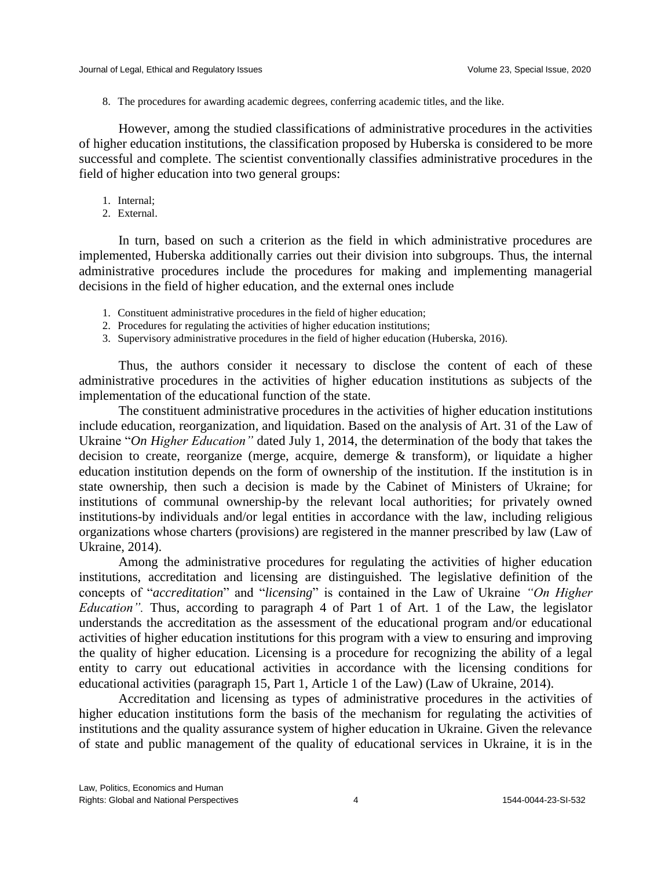8. The procedures for awarding academic degrees, conferring academic titles, and the like.

However, among the studied classifications of administrative procedures in the activities of higher education institutions, the classification proposed by Huberska is considered to be more successful and complete. The scientist conventionally classifies administrative procedures in the field of higher education into two general groups:

- 1. Internal;
- 2. External.

In turn, based on such a criterion as the field in which administrative procedures are implemented, Huberska additionally carries out their division into subgroups. Thus, the internal administrative procedures include the procedures for making and implementing managerial decisions in the field of higher education, and the external ones include

- 1. Constituent administrative procedures in the field of higher education;
- 2. Procedures for regulating the activities of higher education institutions;
- 3. Supervisory administrative procedures in the field of higher education (Huberska, 2016).

Thus, the authors consider it necessary to disclose the content of each of these administrative procedures in the activities of higher education institutions as subjects of the implementation of the educational function of the state.

The constituent administrative procedures in the activities of higher education institutions include education, reorganization, and liquidation. Based on the analysis of Art. 31 of the Law of Ukraine "*On Higher Education"* dated July 1, 2014, the determination of the body that takes the decision to create, reorganize (merge, acquire, demerge & transform), or liquidate a higher education institution depends on the form of ownership of the institution. If the institution is in state ownership, then such a decision is made by the Cabinet of Ministers of Ukraine; for institutions of communal ownership-by the relevant local authorities; for privately owned institutions-by individuals and/or legal entities in accordance with the law, including religious organizations whose charters (provisions) are registered in the manner prescribed by law (Law of Ukraine, 2014).

Among the administrative procedures for regulating the activities of higher education institutions, accreditation and licensing are distinguished. The legislative definition of the concepts of "*accreditation*" and "*licensing*" is contained in the Law of Ukraine *"On Higher Education".* Thus, according to paragraph 4 of Part 1 of Art. 1 of the Law, the legislator understands the accreditation as the assessment of the educational program and/or educational activities of higher education institutions for this program with a view to ensuring and improving the quality of higher education. Licensing is a procedure for recognizing the ability of a legal entity to carry out educational activities in accordance with the licensing conditions for educational activities (paragraph 15, Part 1, Article 1 of the Law) (Law of Ukraine, 2014).

Accreditation and licensing as types of administrative procedures in the activities of higher education institutions form the basis of the mechanism for regulating the activities of institutions and the quality assurance system of higher education in Ukraine. Given the relevance of state and public management of the quality of educational services in Ukraine, it is in the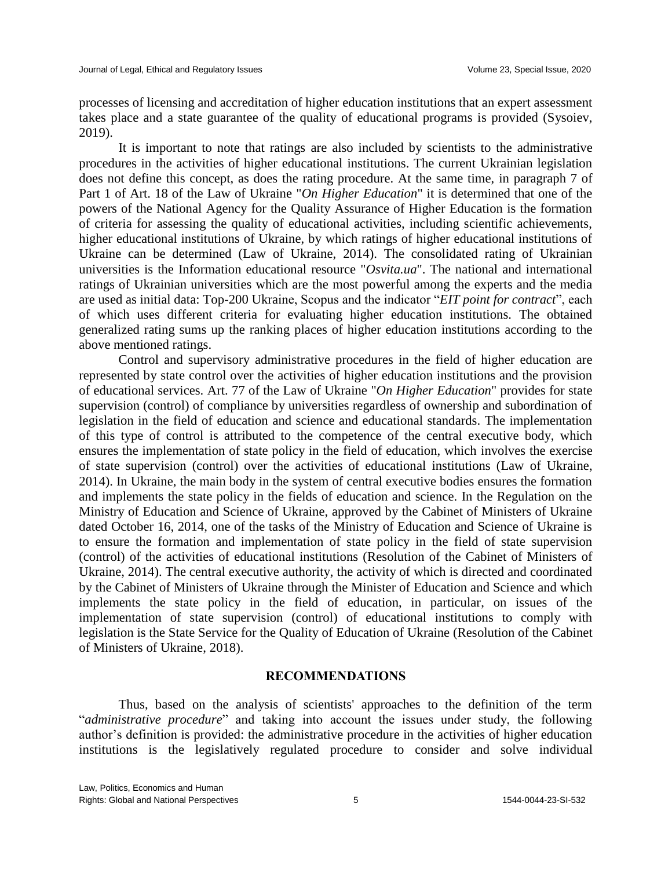processes of licensing and accreditation of higher education institutions that an expert assessment takes place and a state guarantee of the quality of educational programs is provided (Sysoiev, 2019).

It is important to note that ratings are also included by scientists to the administrative procedures in the activities of higher educational institutions. The current Ukrainian legislation does not define this concept, as does the rating procedure. At the same time, in paragraph 7 of Part 1 of Art. 18 of the Law of Ukraine "*On Higher Education*" it is determined that one of the powers of the National Agency for the Quality Assurance of Higher Education is the formation of criteria for assessing the quality of educational activities, including scientific achievements, higher educational institutions of Ukraine, by which ratings of higher educational institutions of Ukraine can be determined (Law of Ukraine, 2014). The consolidated rating of Ukrainian universities is the Information educational resource "*Osvita.ua*". The national and international ratings of Ukrainian universities which are the most powerful among the experts and the media are used as initial data: Top-200 Ukraine, Scopus and the indicator "*EIT point for contract*", each of which uses different criteria for evaluating higher education institutions. The obtained generalized rating sums up the ranking places of higher education institutions according to the above mentioned ratings.

Control and supervisory administrative procedures in the field of higher education are represented by state control over the activities of higher education institutions and the provision of educational services. Art. 77 of the Law of Ukraine "*On Higher Education*" provides for state supervision (control) of compliance by universities regardless of ownership and subordination of legislation in the field of education and science and educational standards. The implementation of this type of control is attributed to the competence of the central executive body, which ensures the implementation of state policy in the field of education, which involves the exercise of state supervision (control) over the activities of educational institutions (Law of Ukraine, 2014). In Ukraine, the main body in the system of central executive bodies ensures the formation and implements the state policy in the fields of education and science. In the Regulation on the Ministry of Education and Science of Ukraine, approved by the Cabinet of Ministers of Ukraine dated October 16, 2014, one of the tasks of the Ministry of Education and Science of Ukraine is to ensure the formation and implementation of state policy in the field of state supervision (control) of the activities of educational institutions (Resolution of the Cabinet of Ministers of Ukraine, 2014). The central executive authority, the activity of which is directed and coordinated by the Cabinet of Ministers of Ukraine through the Minister of Education and Science and which implements the state policy in the field of education, in particular, on issues of the implementation of state supervision (control) of educational institutions to comply with legislation is the State Service for the Quality of Education of Ukraine (Resolution of the Cabinet of Ministers of Ukraine, 2018).

#### **RECOMMENDATIONS**

Thus, based on the analysis of scientists' approaches to the definition of the term "*administrative procedure*" and taking into account the issues under study, the following author's definition is provided: the administrative procedure in the activities of higher education institutions is the legislatively regulated procedure to consider and solve individual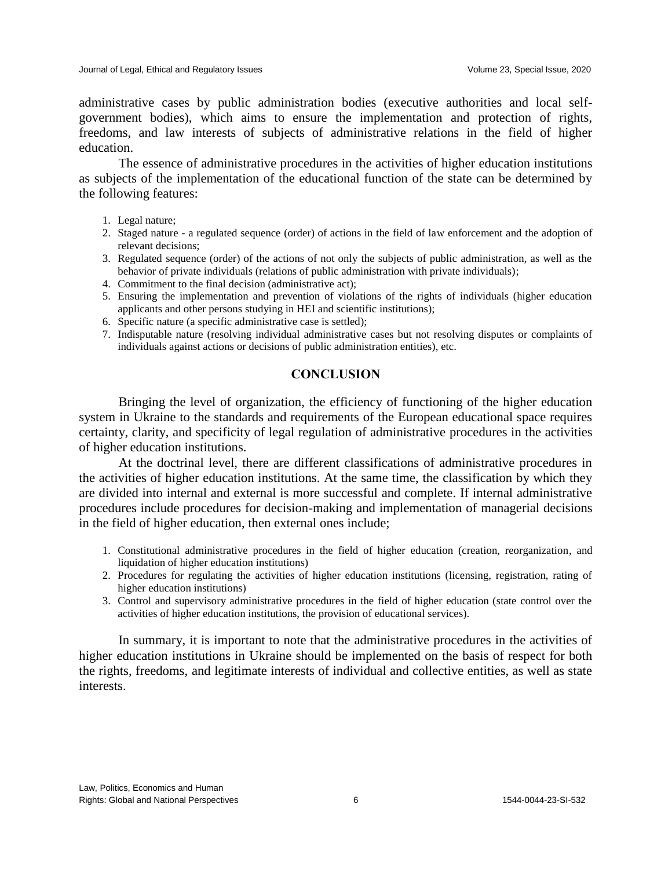administrative cases by public administration bodies (executive authorities and local selfgovernment bodies), which aims to ensure the implementation and protection of rights, freedoms, and law interests of subjects of administrative relations in the field of higher education.

The essence of administrative procedures in the activities of higher education institutions as subjects of the implementation of the educational function of the state can be determined by the following features:

- 1. Legal nature;
- 2. Staged nature a regulated sequence (order) of actions in the field of law enforcement and the adoption of relevant decisions;
- 3. Regulated sequence (order) of the actions of not only the subjects of public administration, as well as the behavior of private individuals (relations of public administration with private individuals);
- 4. Commitment to the final decision (administrative act);
- 5. Ensuring the implementation and prevention of violations of the rights of individuals (higher education applicants and other persons studying in HEI and scientific institutions);
- 6. Specific nature (a specific administrative case is settled);
- 7. Indisputable nature (resolving individual administrative cases but not resolving disputes or complaints of individuals against actions or decisions of public administration entities), etc.

#### **CONCLUSION**

Bringing the level of organization, the efficiency of functioning of the higher education system in Ukraine to the standards and requirements of the European educational space requires certainty, clarity, and specificity of legal regulation of administrative procedures in the activities of higher education institutions.

At the doctrinal level, there are different classifications of administrative procedures in the activities of higher education institutions. At the same time, the classification by which they are divided into internal and external is more successful and complete. If internal administrative procedures include procedures for decision-making and implementation of managerial decisions in the field of higher education, then external ones include;

- 1. Constitutional administrative procedures in the field of higher education (creation, reorganization, and liquidation of higher education institutions)
- 2. Procedures for regulating the activities of higher education institutions (licensing, registration, rating of higher education institutions)
- 3. Control and supervisory administrative procedures in the field of higher education (state control over the activities of higher education institutions, the provision of educational services).

In summary, it is important to note that the administrative procedures in the activities of higher education institutions in Ukraine should be implemented on the basis of respect for both the rights, freedoms, and legitimate interests of individual and collective entities, as well as state interests.